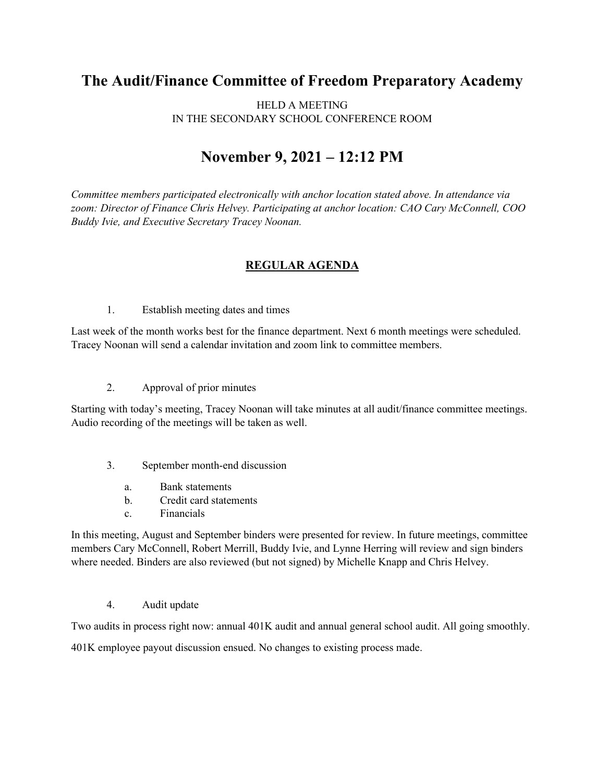## **The Audit/Finance Committee of Freedom Preparatory Academy**

HELD A MEETING IN THE SECONDARY SCHOOL CONFERENCE ROOM

## **November 9, 2021 – 12:12 PM**

*Committee members participated electronically with anchor location stated above. In attendance via zoom: Director of Finance Chris Helvey. Participating at anchor location: CAO Cary McConnell, COO Buddy Ivie, and Executive Secretary Tracey Noonan.*

## **REGULAR AGENDA**

1. Establish meeting dates and times

Last week of the month works best for the finance department. Next 6 month meetings were scheduled. Tracey Noonan will send a calendar invitation and zoom link to committee members.

2. Approval of prior minutes

Starting with today's meeting, Tracey Noonan will take minutes at all audit/finance committee meetings. Audio recording of the meetings will be taken as well.

- 3. September month-end discussion
	- a. Bank statements
	- b. Credit card statements
	- c. Financials

In this meeting, August and September binders were presented for review. In future meetings, committee members Cary McConnell, Robert Merrill, Buddy Ivie, and Lynne Herring will review and sign binders where needed. Binders are also reviewed (but not signed) by Michelle Knapp and Chris Helvey.

4. Audit update

Two audits in process right now: annual 401K audit and annual general school audit. All going smoothly.

401K employee payout discussion ensued. No changes to existing process made.